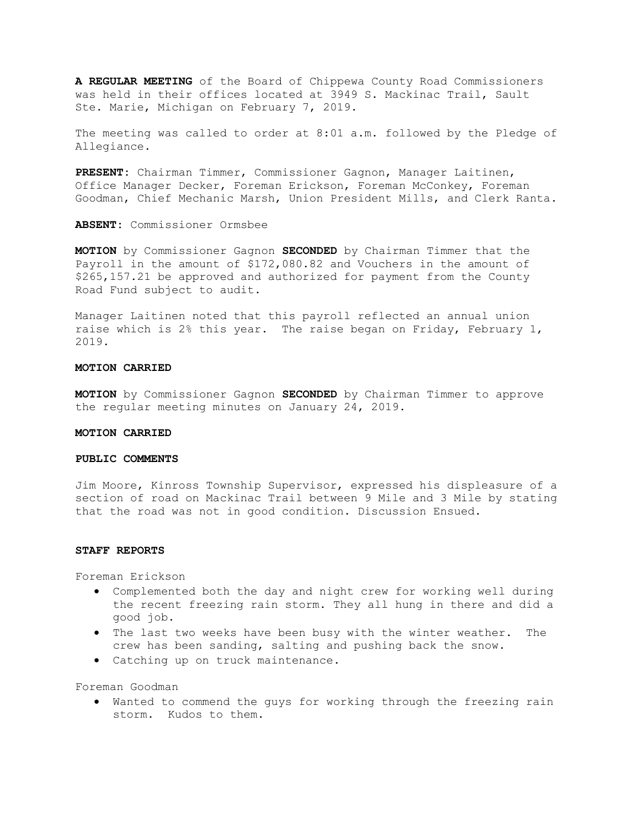A REGULAR MEETING of the Board of Chippewa County Road Commissioners was held in their offices located at 3949 S. Mackinac Trail, Sault Ste. Marie, Michigan on February 7, 2019.

The meeting was called to order at 8:01 a.m. followed by the Pledge of Allegiance.

PRESENT: Chairman Timmer, Commissioner Gagnon, Manager Laitinen, Office Manager Decker, Foreman Erickson, Foreman McConkey, Foreman Goodman, Chief Mechanic Marsh, Union President Mills, and Clerk Ranta.

ABSENT: Commissioner Ormsbee

MOTION by Commissioner Gagnon SECONDED by Chairman Timmer that the Payroll in the amount of \$172,080.82 and Vouchers in the amount of \$265,157.21 be approved and authorized for payment from the County Road Fund subject to audit.

Manager Laitinen noted that this payroll reflected an annual union raise which is 2% this year. The raise began on Friday, February 1, 2019.

### MOTION CARRIED

**MOTION** by Commissioner Gagnon **SECONDED** by Chairman Timmer to approve the regular meeting minutes on January 24, 2019.

#### MOTION CARRIED

### PUBLIC COMMENTS

Jim Moore, Kinross Township Supervisor, expressed his displeasure of a section of road on Mackinac Trail between 9 Mile and 3 Mile by stating that the road was not in good condition. Discussion Ensued.

### STAFF REPORTS

Foreman Erickson

- Complemented both the day and night crew for working well during the recent freezing rain storm. They all hung in there and did a good job.
- The last two weeks have been busy with the winter weather. The crew has been sanding, salting and pushing back the snow.
- Catching up on truck maintenance.

Foreman Goodman

 Wanted to commend the guys for working through the freezing rain storm. Kudos to them.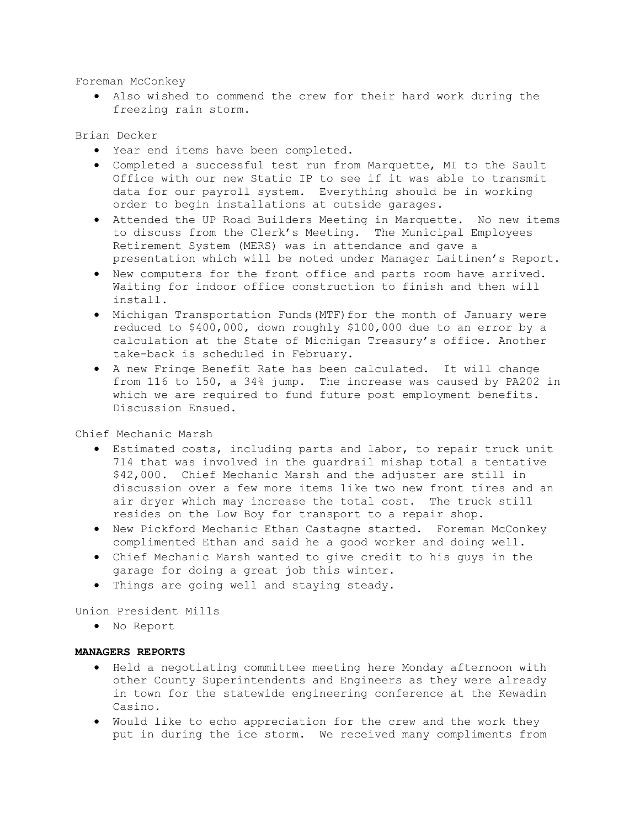Foreman McConkey

 Also wished to commend the crew for their hard work during the freezing rain storm.

# Brian Decker

- Year end items have been completed.
- Completed a successful test run from Marquette, MI to the Sault Office with our new Static IP to see if it was able to transmit data for our payroll system. Everything should be in working order to begin installations at outside garages.
- Attended the UP Road Builders Meeting in Marquette. No new items to discuss from the Clerk's Meeting. The Municipal Employees Retirement System (MERS) was in attendance and gave a presentation which will be noted under Manager Laitinen's Report.
- New computers for the front office and parts room have arrived. Waiting for indoor office construction to finish and then will install.
- Michigan Transportation Funds(MTF)for the month of January were reduced to \$400,000, down roughly \$100,000 due to an error by a calculation at the State of Michigan Treasury's office. Another take-back is scheduled in February.
- A new Fringe Benefit Rate has been calculated. It will change from 116 to 150, a 34% jump. The increase was caused by PA202 in which we are required to fund future post employment benefits. Discussion Ensued.

Chief Mechanic Marsh

- Estimated costs, including parts and labor, to repair truck unit 714 that was involved in the guardrail mishap total a tentative \$42,000. Chief Mechanic Marsh and the adjuster are still in discussion over a few more items like two new front tires and an air dryer which may increase the total cost. The truck still resides on the Low Boy for transport to a repair shop.
- New Pickford Mechanic Ethan Castagne started. Foreman McConkey complimented Ethan and said he a good worker and doing well.
- Chief Mechanic Marsh wanted to give credit to his guys in the garage for doing a great job this winter.
- Things are going well and staying steady.

Union President Mills

No Report

# MANAGERS REPORTS

- Held a negotiating committee meeting here Monday afternoon with other County Superintendents and Engineers as they were already in town for the statewide engineering conference at the Kewadin Casino.
- Would like to echo appreciation for the crew and the work they put in during the ice storm. We received many compliments from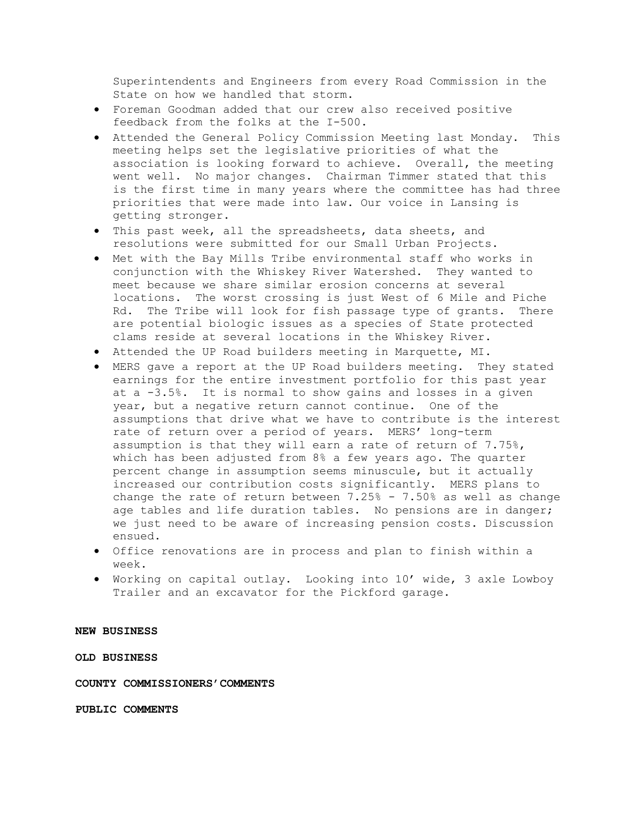Superintendents and Engineers from every Road Commission in the State on how we handled that storm.

- Foreman Goodman added that our crew also received positive feedback from the folks at the I-500.
- Attended the General Policy Commission Meeting last Monday. This meeting helps set the legislative priorities of what the association is looking forward to achieve. Overall, the meeting went well. No major changes. Chairman Timmer stated that this is the first time in many years where the committee has had three priorities that were made into law. Our voice in Lansing is getting stronger.
- This past week, all the spreadsheets, data sheets, and resolutions were submitted for our Small Urban Projects.
- Met with the Bay Mills Tribe environmental staff who works in conjunction with the Whiskey River Watershed. They wanted to meet because we share similar erosion concerns at several locations. The worst crossing is just West of 6 Mile and Piche Rd. The Tribe will look for fish passage type of grants. There are potential biologic issues as a species of State protected clams reside at several locations in the Whiskey River.
- Attended the UP Road builders meeting in Marquette, MI.
- MERS gave a report at the UP Road builders meeting. They stated earnings for the entire investment portfolio for this past year at a -3.5%. It is normal to show gains and losses in a given year, but a negative return cannot continue. One of the assumptions that drive what we have to contribute is the interest rate of return over a period of years. MERS' long-term assumption is that they will earn a rate of return of 7.75%, which has been adjusted from 8% a few years ago. The quarter percent change in assumption seems minuscule, but it actually increased our contribution costs significantly. MERS plans to change the rate of return between  $7.25\%$  -  $7.50\%$  as well as change age tables and life duration tables. No pensions are in danger; we just need to be aware of increasing pension costs. Discussion ensued.
- Office renovations are in process and plan to finish within a week.
- Working on capital outlay. Looking into 10' wide, 3 axle Lowboy Trailer and an excavator for the Pickford garage.

#### NEW BUSINESS

OLD BUSINESS

COUNTY COMMISSIONERS'COMMENTS

PUBLIC COMMENTS